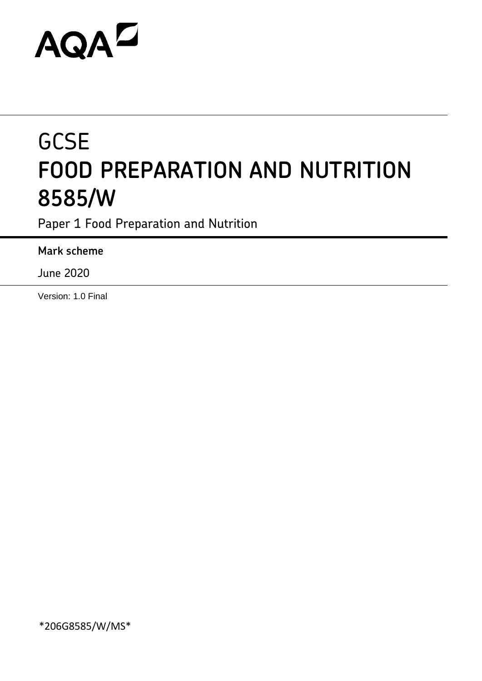# **AQAZ**

## **GCSE FOOD PREPARATION AND NUTRITION 8585/W**

Paper 1 Food Preparation and Nutrition

**Mark scheme**

June 2020

Version: 1.0 Final

\*206G8585/W/MS\*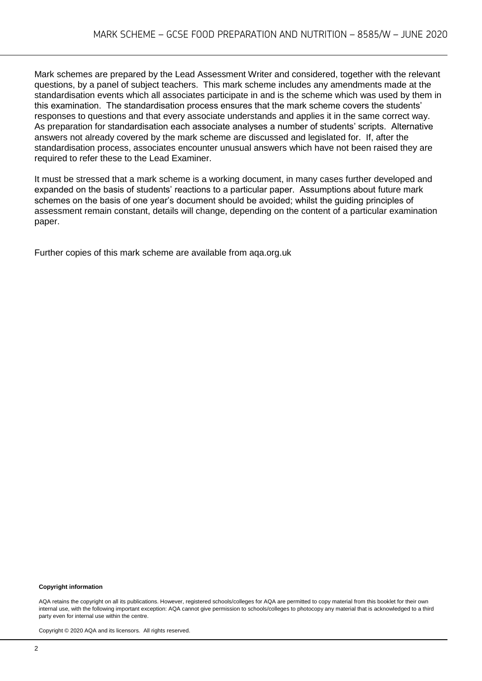Mark schemes are prepared by the Lead Assessment Writer and considered, together with the relevant questions, by a panel of subject teachers. This mark scheme includes any amendments made at the standardisation events which all associates participate in and is the scheme which was used by them in this examination. The standardisation process ensures that the mark scheme covers the students' responses to questions and that every associate understands and applies it in the same correct way. As preparation for standardisation each associate analyses a number of students' scripts. Alternative answers not already covered by the mark scheme are discussed and legislated for. If, after the standardisation process, associates encounter unusual answers which have not been raised they are required to refer these to the Lead Examiner.

It must be stressed that a mark scheme is a working document, in many cases further developed and expanded on the basis of students' reactions to a particular paper. Assumptions about future mark schemes on the basis of one year's document should be avoided; whilst the guiding principles of assessment remain constant, details will change, depending on the content of a particular examination paper.

Further copies of this mark scheme are available from aqa.org.uk

#### **Copyright information**

AQA retains the copyright on all its publications. However, registered schools/colleges for AQA are permitted to copy material from this booklet for their own internal use, with the following important exception: AQA cannot give permission to schools/colleges to photocopy any material that is acknowledged to a third party even for internal use within the centre.

Copyright © 2020 AQA and its licensors. All rights reserved.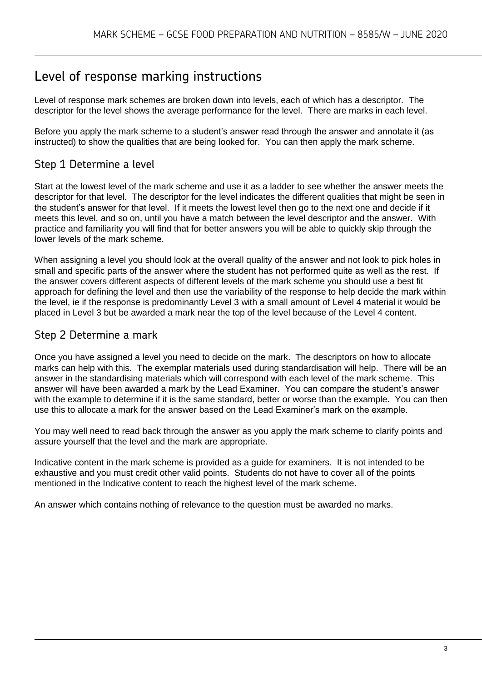### Level of response marking instructions

Level of response mark schemes are broken down into levels, each of which has a descriptor. The descriptor for the level shows the average performance for the level. There are marks in each level.

Before you apply the mark scheme to a student's answer read through the answer and annotate it (as instructed) to show the qualities that are being looked for. You can then apply the mark scheme.

#### Step 1 Determine a level

Start at the lowest level of the mark scheme and use it as a ladder to see whether the answer meets the descriptor for that level. The descriptor for the level indicates the different qualities that might be seen in the student's answer for that level. If it meets the lowest level then go to the next one and decide if it meets this level, and so on, until you have a match between the level descriptor and the answer. With practice and familiarity you will find that for better answers you will be able to quickly skip through the lower levels of the mark scheme.

When assigning a level you should look at the overall quality of the answer and not look to pick holes in small and specific parts of the answer where the student has not performed quite as well as the rest. If the answer covers different aspects of different levels of the mark scheme you should use a best fit approach for defining the level and then use the variability of the response to help decide the mark within the level, ie if the response is predominantly Level 3 with a small amount of Level 4 material it would be placed in Level 3 but be awarded a mark near the top of the level because of the Level 4 content.

#### Step 2 Determine a mark

Once you have assigned a level you need to decide on the mark. The descriptors on how to allocate marks can help with this. The exemplar materials used during standardisation will help. There will be an answer in the standardising materials which will correspond with each level of the mark scheme. This answer will have been awarded a mark by the Lead Examiner. You can compare the student's answer with the example to determine if it is the same standard, better or worse than the example. You can then use this to allocate a mark for the answer based on the Lead Examiner's mark on the example.

You may well need to read back through the answer as you apply the mark scheme to clarify points and assure yourself that the level and the mark are appropriate.

Indicative content in the mark scheme is provided as a guide for examiners. It is not intended to be exhaustive and you must credit other valid points. Students do not have to cover all of the points mentioned in the Indicative content to reach the highest level of the mark scheme.

An answer which contains nothing of relevance to the question must be awarded no marks.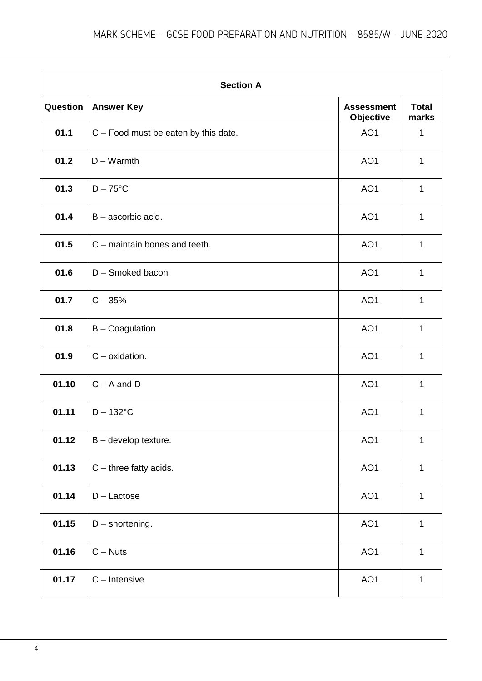|          | <b>Section A</b>                       |                                       |                       |  |
|----------|----------------------------------------|---------------------------------------|-----------------------|--|
| Question | <b>Answer Key</b>                      | <b>Assessment</b><br><b>Objective</b> | <b>Total</b><br>marks |  |
| 01.1     | $C$ – Food must be eaten by this date. | AO1                                   | 1                     |  |
| 01.2     | $D - Warmth$                           | AO <sub>1</sub>                       | 1                     |  |
| 01.3     | $D - 75$ °C                            | AO <sub>1</sub>                       | $\mathbf{1}$          |  |
| 01.4     | $B -$ ascorbic acid.                   | AO <sub>1</sub>                       | $\mathbf{1}$          |  |
| 01.5     | C - maintain bones and teeth.          | AO <sub>1</sub>                       | 1                     |  |
| 01.6     | D - Smoked bacon                       | AO <sub>1</sub>                       | 1                     |  |
| 01.7     | $C - 35%$                              | AO <sub>1</sub>                       | $\mathbf{1}$          |  |
| 01.8     | <b>B</b> - Coagulation                 | AO <sub>1</sub>                       | 1                     |  |
| 01.9     | $C$ – oxidation.                       | AO1                                   | 1                     |  |
| 01.10    | $C - A$ and $D$                        | AO <sub>1</sub>                       | 1                     |  |
| 01.11    | $D - 132$ °C                           | AO <sub>1</sub>                       | 1                     |  |
| 01.12    | $B -$ develop texture.                 | AO1                                   | 1                     |  |
| 01.13    | $C$ – three fatty acids.               | AO1                                   | 1                     |  |
| 01.14    | $D -$ Lactose                          | AO1                                   | 1                     |  |
| 01.15    | $D$ – shortening.                      | AO1                                   | $\mathbf{1}$          |  |
| 01.16    | $C - Nuts$                             | AO1                                   | 1                     |  |
| 01.17    | $C -$ Intensive                        | AO <sub>1</sub>                       | $\mathbf{1}$          |  |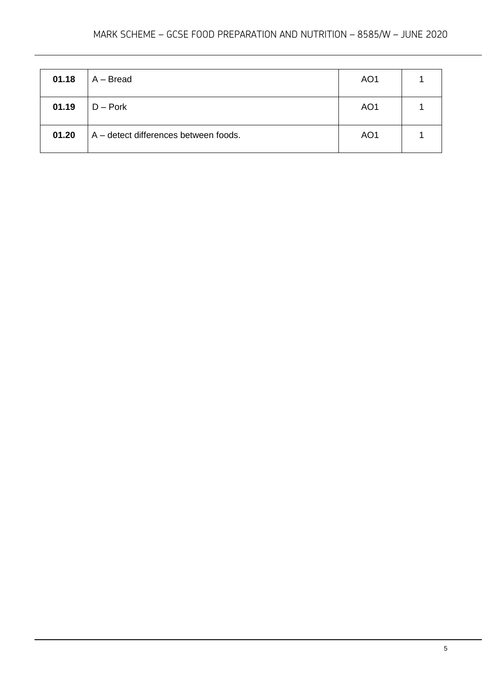#### MARK SCHEME – GCSE FOOD PREPARATION AND NUTRITION – 8585/W – JUNE 2020

| 01.18 | $A - Bread$                           | AO <sub>1</sub> |  |
|-------|---------------------------------------|-----------------|--|
| 01.19 | $D -$ Pork                            | AO <sub>1</sub> |  |
| 01.20 | A – detect differences between foods. | AO <sub>1</sub> |  |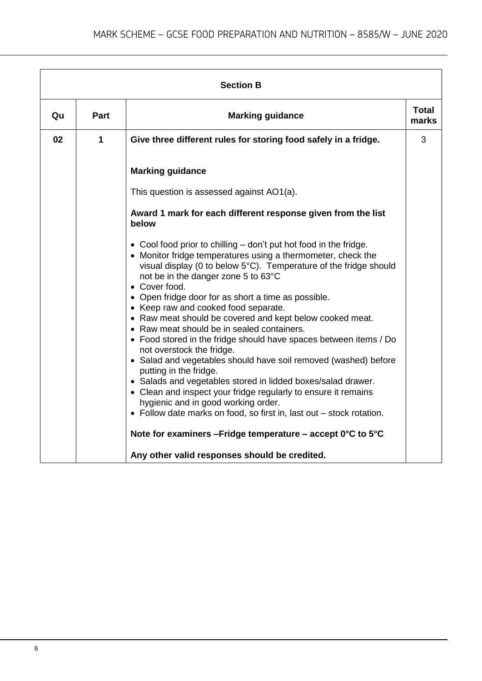| <b>Section B</b> |      |                                                                                                                                                                                                                                                                |                       |  |
|------------------|------|----------------------------------------------------------------------------------------------------------------------------------------------------------------------------------------------------------------------------------------------------------------|-----------------------|--|
| Qu               | Part | <b>Marking guidance</b>                                                                                                                                                                                                                                        | <b>Total</b><br>marks |  |
| 02               | 1    | Give three different rules for storing food safely in a fridge.                                                                                                                                                                                                | 3                     |  |
|                  |      | <b>Marking guidance</b>                                                                                                                                                                                                                                        |                       |  |
|                  |      | This question is assessed against AO1(a).                                                                                                                                                                                                                      |                       |  |
|                  |      | Award 1 mark for each different response given from the list<br>below                                                                                                                                                                                          |                       |  |
|                  |      | • Cool food prior to chilling – don't put hot food in the fridge.<br>• Monitor fridge temperatures using a thermometer, check the<br>visual display (0 to below 5°C). Temperature of the fridge should<br>not be in the danger zone 5 to 63°C<br>• Cover food. |                       |  |
|                  |      | • Open fridge door for as short a time as possible.<br>• Keep raw and cooked food separate.<br>• Raw meat should be covered and kept below cooked meat.                                                                                                        |                       |  |
|                  |      | • Raw meat should be in sealed containers.<br>• Food stored in the fridge should have spaces between items / Do<br>not overstock the fridge.                                                                                                                   |                       |  |
|                  |      | • Salad and vegetables should have soil removed (washed) before<br>putting in the fridge.                                                                                                                                                                      |                       |  |
|                  |      | • Salads and vegetables stored in lidded boxes/salad drawer.<br>• Clean and inspect your fridge regularly to ensure it remains<br>hygienic and in good working order.<br>• Follow date marks on food, so first in, last out - stock rotation.                  |                       |  |
|                  |      | Note for examiners - Fridge temperature - accept 0°C to 5°C                                                                                                                                                                                                    |                       |  |
|                  |      | Any other valid responses should be credited.                                                                                                                                                                                                                  |                       |  |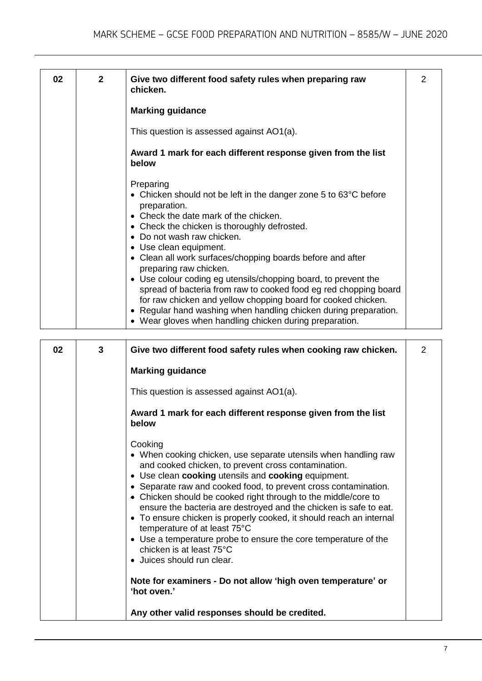| 02 | $\mathbf{2}$ | Give two different food safety rules when preparing raw<br>chicken.                                                                                                                                                                                                                                                                                                                                                                                                                                                                                                                                                                                                          | 2 |
|----|--------------|------------------------------------------------------------------------------------------------------------------------------------------------------------------------------------------------------------------------------------------------------------------------------------------------------------------------------------------------------------------------------------------------------------------------------------------------------------------------------------------------------------------------------------------------------------------------------------------------------------------------------------------------------------------------------|---|
|    |              | <b>Marking guidance</b>                                                                                                                                                                                                                                                                                                                                                                                                                                                                                                                                                                                                                                                      |   |
|    |              | This question is assessed against AO1(a).                                                                                                                                                                                                                                                                                                                                                                                                                                                                                                                                                                                                                                    |   |
|    |              | Award 1 mark for each different response given from the list<br>below                                                                                                                                                                                                                                                                                                                                                                                                                                                                                                                                                                                                        |   |
|    |              | Preparing<br>• Chicken should not be left in the danger zone 5 to 63°C before<br>preparation.<br>• Check the date mark of the chicken.<br>• Check the chicken is thoroughly defrosted.<br>• Do not wash raw chicken.<br>• Use clean equipment.<br>• Clean all work surfaces/chopping boards before and after<br>preparing raw chicken.<br>• Use colour coding eg utensils/chopping board, to prevent the<br>spread of bacteria from raw to cooked food eg red chopping board<br>for raw chicken and yellow chopping board for cooked chicken.<br>• Regular hand washing when handling chicken during preparation.<br>• Wear gloves when handling chicken during preparation. |   |

| 02 | $\mathbf{3}$ | Give two different food safety rules when cooking raw chicken.                                                                                                                                                                                                                                                                                                                                                                                                                                                                                                                                                                         | 2 |
|----|--------------|----------------------------------------------------------------------------------------------------------------------------------------------------------------------------------------------------------------------------------------------------------------------------------------------------------------------------------------------------------------------------------------------------------------------------------------------------------------------------------------------------------------------------------------------------------------------------------------------------------------------------------------|---|
|    |              | <b>Marking guidance</b>                                                                                                                                                                                                                                                                                                                                                                                                                                                                                                                                                                                                                |   |
|    |              | This question is assessed against AO1(a).                                                                                                                                                                                                                                                                                                                                                                                                                                                                                                                                                                                              |   |
|    |              | Award 1 mark for each different response given from the list<br>below                                                                                                                                                                                                                                                                                                                                                                                                                                                                                                                                                                  |   |
|    |              | Cooking<br>• When cooking chicken, use separate utensils when handling raw<br>and cooked chicken, to prevent cross contamination.<br>• Use clean cooking utensils and cooking equipment.<br>• Separate raw and cooked food, to prevent cross contamination.<br>• Chicken should be cooked right through to the middle/core to<br>ensure the bacteria are destroyed and the chicken is safe to eat.<br>• To ensure chicken is properly cooked, it should reach an internal<br>temperature of at least 75°C<br>• Use a temperature probe to ensure the core temperature of the<br>chicken is at least 75°C<br>• Juices should run clear. |   |
|    |              | Note for examiners - Do not allow 'high oven temperature' or<br>'hot oven.'                                                                                                                                                                                                                                                                                                                                                                                                                                                                                                                                                            |   |
|    |              | Any other valid responses should be credited.                                                                                                                                                                                                                                                                                                                                                                                                                                                                                                                                                                                          |   |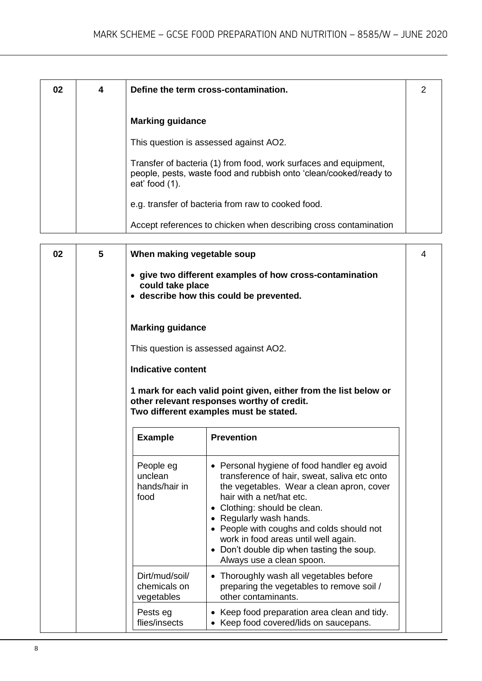| 02 | 4 | Define the term cross-contamination.                                                                                                                       |  |
|----|---|------------------------------------------------------------------------------------------------------------------------------------------------------------|--|
|    |   | <b>Marking guidance</b>                                                                                                                                    |  |
|    |   | This question is assessed against AO2.                                                                                                                     |  |
|    |   | Transfer of bacteria (1) from food, work surfaces and equipment,<br>people, pests, waste food and rubbish onto 'clean/cooked/ready to<br>eat' food $(1)$ . |  |
|    |   | e.g. transfer of bacteria from raw to cooked food.                                                                                                         |  |
|    |   | Accept references to chicken when describing cross contamination                                                                                           |  |

| 02 | 5 | When making vegetable soup                    |                                                                                                                                                                                                                                                                                                                                                                                                | 4 |
|----|---|-----------------------------------------------|------------------------------------------------------------------------------------------------------------------------------------------------------------------------------------------------------------------------------------------------------------------------------------------------------------------------------------------------------------------------------------------------|---|
|    |   | could take place                              | • give two different examples of how cross-contamination<br>• describe how this could be prevented.                                                                                                                                                                                                                                                                                            |   |
|    |   | <b>Marking guidance</b>                       |                                                                                                                                                                                                                                                                                                                                                                                                |   |
|    |   |                                               | This question is assessed against AO2.                                                                                                                                                                                                                                                                                                                                                         |   |
|    |   | <b>Indicative content</b>                     |                                                                                                                                                                                                                                                                                                                                                                                                |   |
|    |   |                                               | 1 mark for each valid point given, either from the list below or<br>other relevant responses worthy of credit.                                                                                                                                                                                                                                                                                 |   |
|    |   |                                               | Two different examples must be stated.                                                                                                                                                                                                                                                                                                                                                         |   |
|    |   | <b>Example</b>                                | <b>Prevention</b>                                                                                                                                                                                                                                                                                                                                                                              |   |
|    |   | People eg<br>unclean<br>hands/hair in<br>food | • Personal hygiene of food handler eg avoid<br>transference of hair, sweat, saliva etc onto<br>the vegetables. Wear a clean apron, cover<br>hair with a net/hat etc.<br>• Clothing: should be clean.<br>• Regularly wash hands.<br>• People with coughs and colds should not<br>work in food areas until well again.<br>• Don't double dip when tasting the soup.<br>Always use a clean spoon. |   |
|    |   | Dirt/mud/soil/<br>chemicals on<br>vegetables  | • Thoroughly wash all vegetables before<br>preparing the vegetables to remove soil /<br>other contaminants.                                                                                                                                                                                                                                                                                    |   |
|    |   | Pests eg<br>flies/insects                     | • Keep food preparation area clean and tidy.<br>• Keep food covered/lids on saucepans.                                                                                                                                                                                                                                                                                                         |   |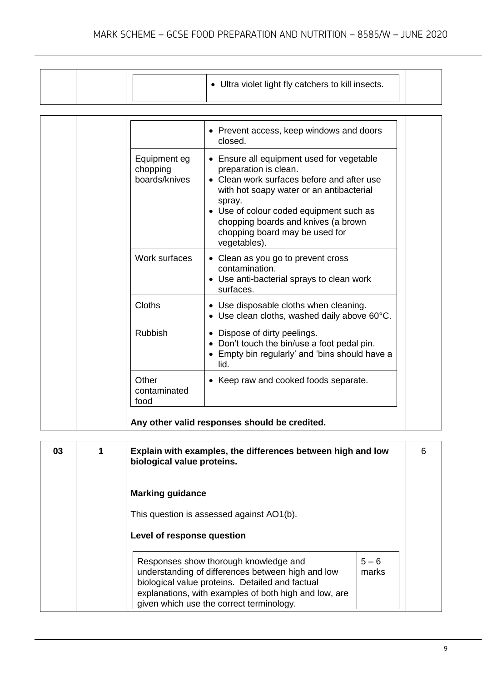|  | • Ultra violet light fly catchers to kill insects. |  |
|--|----------------------------------------------------|--|
|  |                                                    |  |

|                                           | • Prevent access, keep windows and doors<br>closed.                                                                                                                                                                                                                                                    |
|-------------------------------------------|--------------------------------------------------------------------------------------------------------------------------------------------------------------------------------------------------------------------------------------------------------------------------------------------------------|
| Equipment eg<br>chopping<br>boards/knives | Ensure all equipment used for vegetable<br>preparation is clean.<br>Clean work surfaces before and after use<br>with hot soapy water or an antibacterial<br>spray.<br>• Use of colour coded equipment such as<br>chopping boards and knives (a brown<br>chopping board may be used for<br>vegetables). |
| Work surfaces                             | • Clean as you go to prevent cross<br>contamination.<br>• Use anti-bacterial sprays to clean work<br>surfaces.                                                                                                                                                                                         |
| <b>Cloths</b>                             | • Use disposable cloths when cleaning.<br>• Use clean cloths, washed daily above 60°C.                                                                                                                                                                                                                 |
| <b>Rubbish</b>                            | • Dispose of dirty peelings.<br>• Don't touch the bin/use a foot pedal pin.<br>• Empty bin regularly' and 'bins should have a<br>lid.                                                                                                                                                                  |
| Other<br>contaminated<br>food             | Keep raw and cooked foods separate.<br>$\bullet$                                                                                                                                                                                                                                                       |

| 03 | 1 | Explain with examples, the differences between high and low<br>biological value proteins.                                                                                                                                                          |                  | 6 |
|----|---|----------------------------------------------------------------------------------------------------------------------------------------------------------------------------------------------------------------------------------------------------|------------------|---|
|    |   | <b>Marking guidance</b><br>This question is assessed against AO1(b).                                                                                                                                                                               |                  |   |
|    |   | Level of response question                                                                                                                                                                                                                         |                  |   |
|    |   | Responses show thorough knowledge and<br>understanding of differences between high and low<br>biological value proteins. Detailed and factual<br>explanations, with examples of both high and low, are<br>given which use the correct terminology. | $5 - 6$<br>marks |   |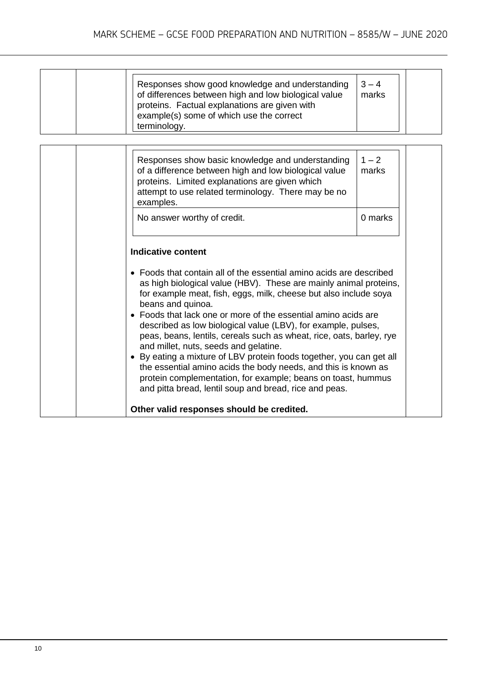|  | Responses show good knowledge and understanding<br>of differences between high and low biological value<br>proteins. Factual explanations are given with<br>example(s) some of which use the correct<br>terminology. | $3 - 4$<br>marks |  |
|--|----------------------------------------------------------------------------------------------------------------------------------------------------------------------------------------------------------------------|------------------|--|
|--|----------------------------------------------------------------------------------------------------------------------------------------------------------------------------------------------------------------------|------------------|--|

| Responses show basic knowledge and understanding<br>of a difference between high and low biological value<br>proteins. Limited explanations are given which<br>attempt to use related terminology. There may be no<br>examples.                                                                                                                                                                                                                                                                                                                                                            | $1 - 2$<br>marks |
|--------------------------------------------------------------------------------------------------------------------------------------------------------------------------------------------------------------------------------------------------------------------------------------------------------------------------------------------------------------------------------------------------------------------------------------------------------------------------------------------------------------------------------------------------------------------------------------------|------------------|
| No answer worthy of credit.                                                                                                                                                                                                                                                                                                                                                                                                                                                                                                                                                                | 0 marks          |
| <b>Indicative content</b><br>• Foods that contain all of the essential amino acids are described<br>as high biological value (HBV). These are mainly animal proteins,<br>for example meat, fish, eggs, milk, cheese but also include soya<br>beans and quinoa.<br>• Foods that lack one or more of the essential amino acids are<br>described as low biological value (LBV), for example, pulses,<br>peas, beans, lentils, cereals such as wheat, rice, oats, barley, rye<br>and millet, nuts, seeds and gelatine.<br>• By eating a mixture of LBV protein foods together, you can get all |                  |
| the essential amino acids the body needs, and this is known as<br>protein complementation, for example; beans on toast, hummus<br>and pitta bread, lentil soup and bread, rice and peas.<br>Other valid responses should be credited.                                                                                                                                                                                                                                                                                                                                                      |                  |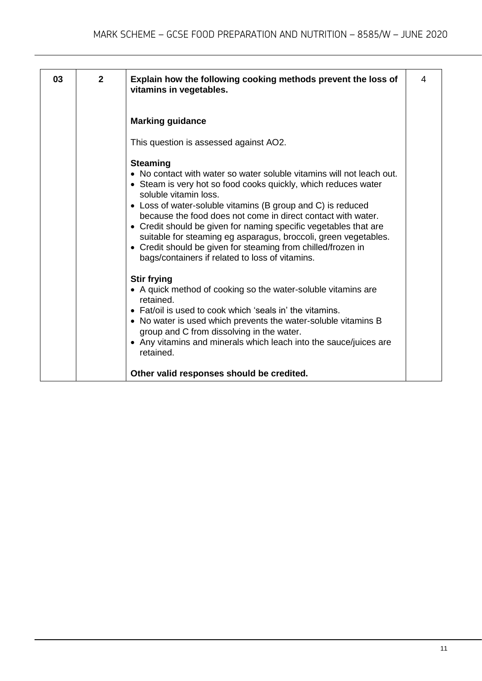| 03 | $\mathbf{2}$ | Explain how the following cooking methods prevent the loss of<br>vitamins in vegetables.                                                                                                                                                                                                                                                                                                                                                                                                                                                                                     | 4 |
|----|--------------|------------------------------------------------------------------------------------------------------------------------------------------------------------------------------------------------------------------------------------------------------------------------------------------------------------------------------------------------------------------------------------------------------------------------------------------------------------------------------------------------------------------------------------------------------------------------------|---|
|    |              | <b>Marking guidance</b>                                                                                                                                                                                                                                                                                                                                                                                                                                                                                                                                                      |   |
|    |              | This question is assessed against AO2.                                                                                                                                                                                                                                                                                                                                                                                                                                                                                                                                       |   |
|    |              | <b>Steaming</b><br>• No contact with water so water soluble vitamins will not leach out.<br>• Steam is very hot so food cooks quickly, which reduces water<br>soluble vitamin loss.<br>• Loss of water-soluble vitamins (B group and C) is reduced<br>because the food does not come in direct contact with water.<br>• Credit should be given for naming specific vegetables that are<br>suitable for steaming eg asparagus, broccoli, green vegetables.<br>• Credit should be given for steaming from chilled/frozen in<br>bags/containers if related to loss of vitamins. |   |
|    |              | <b>Stir frying</b><br>• A quick method of cooking so the water-soluble vitamins are<br>retained.<br>• Fat/oil is used to cook which 'seals in' the vitamins.<br>• No water is used which prevents the water-soluble vitamins B<br>group and C from dissolving in the water.<br>• Any vitamins and minerals which leach into the sauce/juices are<br>retained.                                                                                                                                                                                                                |   |
|    |              | Other valid responses should be credited.                                                                                                                                                                                                                                                                                                                                                                                                                                                                                                                                    |   |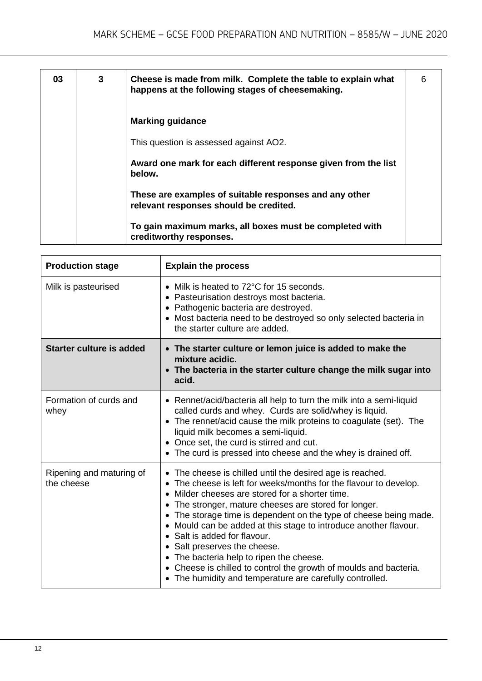| 03 | 3 | Cheese is made from milk. Complete the table to explain what<br>happens at the following stages of cheesemaking. | 6 |
|----|---|------------------------------------------------------------------------------------------------------------------|---|
|    |   | <b>Marking guidance</b>                                                                                          |   |
|    |   | This question is assessed against AO2.                                                                           |   |
|    |   | Award one mark for each different response given from the list<br>below.                                         |   |
|    |   | These are examples of suitable responses and any other<br>relevant responses should be credited.                 |   |
|    |   | To gain maximum marks, all boxes must be completed with<br>creditworthy responses.                               |   |

| <b>Production stage</b>                | <b>Explain the process</b>                                                                                                                                                                                                                                                                                                                                                                                                                                                                                                                                                                                                                                                 |
|----------------------------------------|----------------------------------------------------------------------------------------------------------------------------------------------------------------------------------------------------------------------------------------------------------------------------------------------------------------------------------------------------------------------------------------------------------------------------------------------------------------------------------------------------------------------------------------------------------------------------------------------------------------------------------------------------------------------------|
| Milk is pasteurised                    | Milk is heated to 72°C for 15 seconds.<br>$\bullet$<br>Pasteurisation destroys most bacteria.<br>$\bullet$<br>• Pathogenic bacteria are destroyed.<br>• Most bacteria need to be destroyed so only selected bacteria in<br>the starter culture are added.                                                                                                                                                                                                                                                                                                                                                                                                                  |
| <b>Starter culture is added</b>        | • The starter culture or lemon juice is added to make the<br>mixture acidic.<br>• The bacteria in the starter culture change the milk sugar into<br>acid.                                                                                                                                                                                                                                                                                                                                                                                                                                                                                                                  |
| Formation of curds and<br>whey         | • Rennet/acid/bacteria all help to turn the milk into a semi-liquid<br>called curds and whey. Curds are solid/whey is liquid.<br>• The rennet/acid cause the milk proteins to coagulate (set). The<br>liquid milk becomes a semi-liquid.<br>• Once set, the curd is stirred and cut.<br>The curd is pressed into cheese and the whey is drained off.<br>$\bullet$                                                                                                                                                                                                                                                                                                          |
| Ripening and maturing of<br>the cheese | The cheese is chilled until the desired age is reached.<br>$\bullet$<br>The cheese is left for weeks/months for the flavour to develop.<br>Milder cheeses are stored for a shorter time.<br>$\bullet$<br>The stronger, mature cheeses are stored for longer.<br>$\bullet$<br>The storage time is dependent on the type of cheese being made.<br>$\bullet$<br>• Mould can be added at this stage to introduce another flavour.<br>• Salt is added for flavour.<br>• Salt preserves the cheese.<br>• The bacteria help to ripen the cheese.<br>• Cheese is chilled to control the growth of moulds and bacteria.<br>• The humidity and temperature are carefully controlled. |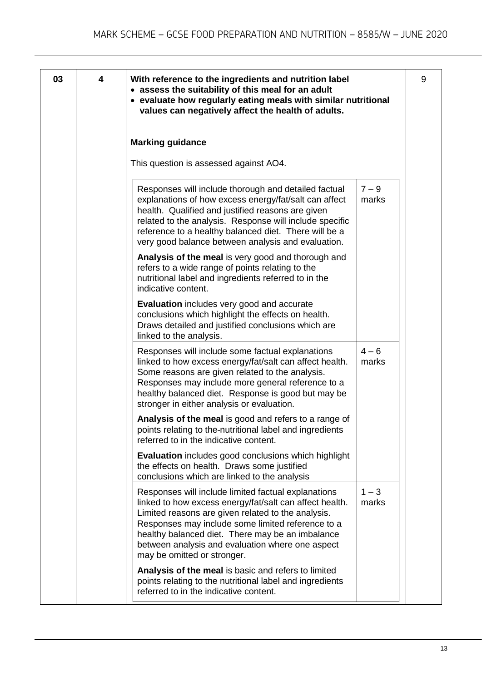| 03 | 4 | With reference to the ingredients and nutrition label<br>• assess the suitability of this meal for an adult<br>• evaluate how regularly eating meals with similar nutritional<br>values can negatively affect the health of adults.                                                                                                                              |                  | 9 |
|----|---|------------------------------------------------------------------------------------------------------------------------------------------------------------------------------------------------------------------------------------------------------------------------------------------------------------------------------------------------------------------|------------------|---|
|    |   | <b>Marking guidance</b>                                                                                                                                                                                                                                                                                                                                          |                  |   |
|    |   | This question is assessed against AO4.                                                                                                                                                                                                                                                                                                                           |                  |   |
|    |   | Responses will include thorough and detailed factual<br>explanations of how excess energy/fat/salt can affect<br>health. Qualified and justified reasons are given<br>related to the analysis. Response will include specific<br>reference to a healthy balanced diet. There will be a<br>very good balance between analysis and evaluation.                     | $7 - 9$<br>marks |   |
|    |   | Analysis of the meal is very good and thorough and<br>refers to a wide range of points relating to the<br>nutritional label and ingredients referred to in the<br>indicative content.                                                                                                                                                                            |                  |   |
|    |   | <b>Evaluation</b> includes very good and accurate<br>conclusions which highlight the effects on health.<br>Draws detailed and justified conclusions which are<br>linked to the analysis.                                                                                                                                                                         |                  |   |
|    |   | Responses will include some factual explanations<br>linked to how excess energy/fat/salt can affect health.<br>Some reasons are given related to the analysis.<br>Responses may include more general reference to a<br>healthy balanced diet. Response is good but may be<br>stronger in either analysis or evaluation.                                          | $4 - 6$<br>marks |   |
|    |   | Analysis of the meal is good and refers to a range of<br>points relating to the-nutritional label and ingredients<br>referred to in the indicative content.                                                                                                                                                                                                      |                  |   |
|    |   | <b>Evaluation</b> includes good conclusions which highlight<br>the effects on health. Draws some justified<br>conclusions which are linked to the analysis                                                                                                                                                                                                       |                  |   |
|    |   | Responses will include limited factual explanations<br>linked to how excess energy/fat/salt can affect health.<br>Limited reasons are given related to the analysis.<br>Responses may include some limited reference to a<br>healthy balanced diet. There may be an imbalance<br>between analysis and evaluation where one aspect<br>may be omitted or stronger. | $1 - 3$<br>marks |   |
|    |   | Analysis of the meal is basic and refers to limited<br>points relating to the nutritional label and ingredients<br>referred to in the indicative content.                                                                                                                                                                                                        |                  |   |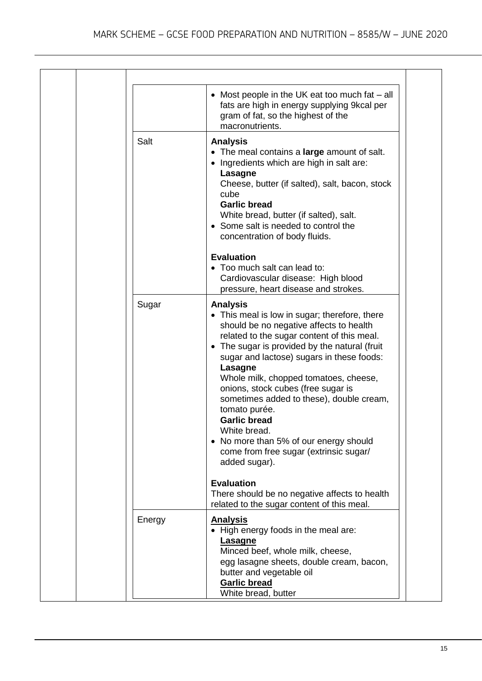|        | • Most people in the UK eat too much fat - all<br>fats are high in energy supplying 9kcal per<br>gram of fat, so the highest of the<br>macronutrients.                                                                                                                                                                                                                                                                                                                                                                                                     |
|--------|------------------------------------------------------------------------------------------------------------------------------------------------------------------------------------------------------------------------------------------------------------------------------------------------------------------------------------------------------------------------------------------------------------------------------------------------------------------------------------------------------------------------------------------------------------|
| Salt   | <b>Analysis</b><br>• The meal contains a large amount of salt.<br>• Ingredients which are high in salt are:<br><b>Lasagne</b><br>Cheese, butter (if salted), salt, bacon, stock<br>cube<br><b>Garlic bread</b><br>White bread, butter (if salted), salt.<br>• Some salt is needed to control the<br>concentration of body fluids.                                                                                                                                                                                                                          |
|        | <b>Evaluation</b><br>• Too much salt can lead to:<br>Cardiovascular disease: High blood<br>pressure, heart disease and strokes.                                                                                                                                                                                                                                                                                                                                                                                                                            |
| Sugar  | <b>Analysis</b><br>• This meal is low in sugar; therefore, there<br>should be no negative affects to health<br>related to the sugar content of this meal.<br>• The sugar is provided by the natural (fruit<br>sugar and lactose) sugars in these foods:<br>Lasagne<br>Whole milk, chopped tomatoes, cheese,<br>onions, stock cubes (free sugar is<br>sometimes added to these), double cream,<br>tomato purée.<br><b>Garlic bread</b><br>White bread.<br>• No more than 5% of our energy should<br>come from free sugar (extrinsic sugar/<br>added sugar). |
|        | <b>Evaluation</b><br>There should be no negative affects to health<br>related to the sugar content of this meal.                                                                                                                                                                                                                                                                                                                                                                                                                                           |
| Energy | <b>Analysis</b><br>• High energy foods in the meal are:<br>Lasagne<br>Minced beef, whole milk, cheese,<br>egg lasagne sheets, double cream, bacon,<br>butter and vegetable oil<br><b>Garlic bread</b><br>White bread, butter                                                                                                                                                                                                                                                                                                                               |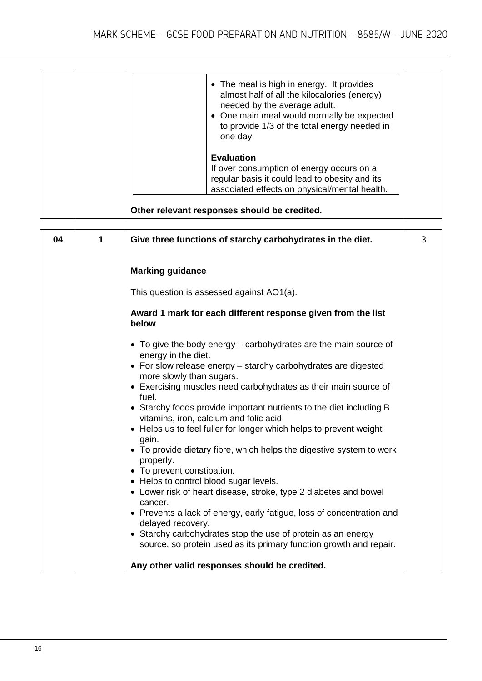| • The meal is high in energy. It provides<br>almost half of all the kilocalories (energy)<br>needed by the average adult.<br>• One main meal would normally be expected<br>to provide 1/3 of the total energy needed in<br>one day. |
|-------------------------------------------------------------------------------------------------------------------------------------------------------------------------------------------------------------------------------------|
| <b>Evaluation</b><br>If over consumption of energy occurs on a<br>regular basis it could lead to obesity and its<br>associated effects on physical/mental health.                                                                   |

| 04 | 1 | Give three functions of starchy carbohydrates in the diet.                                                                                                                                                                                                                                                                                                                          | 3 |
|----|---|-------------------------------------------------------------------------------------------------------------------------------------------------------------------------------------------------------------------------------------------------------------------------------------------------------------------------------------------------------------------------------------|---|
|    |   | <b>Marking guidance</b>                                                                                                                                                                                                                                                                                                                                                             |   |
|    |   | This question is assessed against AO1(a).                                                                                                                                                                                                                                                                                                                                           |   |
|    |   | Award 1 mark for each different response given from the list<br>below                                                                                                                                                                                                                                                                                                               |   |
|    |   | • To give the body energy – carbohydrates are the main source of<br>energy in the diet.<br>• For slow release energy – starchy carbohydrates are digested<br>more slowly than sugars.<br>• Exercising muscles need carbohydrates as their main source of<br>fuel.<br>• Starchy foods provide important nutrients to the diet including B<br>vitamins, iron, calcium and folic acid. |   |
|    |   | • Helps us to feel fuller for longer which helps to prevent weight<br>gain.<br>• To provide dietary fibre, which helps the digestive system to work<br>properly.<br>• To prevent constipation.<br>• Helps to control blood sugar levels.<br>• Lower risk of heart disease, stroke, type 2 diabetes and bowel                                                                        |   |
|    |   | cancer.<br>• Prevents a lack of energy, early fatigue, loss of concentration and<br>delayed recovery.<br>• Starchy carbohydrates stop the use of protein as an energy<br>source, so protein used as its primary function growth and repair.<br>Any other valid responses should be credited.                                                                                        |   |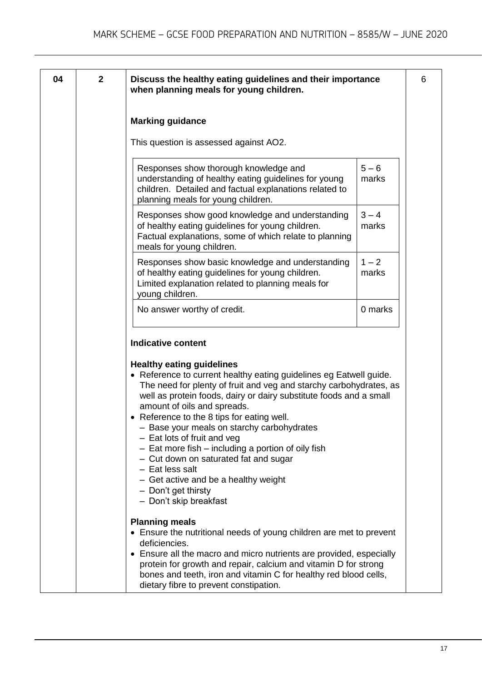| 04 | $\mathbf{2}$ | Discuss the healthy eating guidelines and their importance<br>when planning meals for young children.                                                                                                                                                                                                                                                                                                                                                                                                                                                                                                                     |                  | 6 |
|----|--------------|---------------------------------------------------------------------------------------------------------------------------------------------------------------------------------------------------------------------------------------------------------------------------------------------------------------------------------------------------------------------------------------------------------------------------------------------------------------------------------------------------------------------------------------------------------------------------------------------------------------------------|------------------|---|
|    |              | <b>Marking guidance</b>                                                                                                                                                                                                                                                                                                                                                                                                                                                                                                                                                                                                   |                  |   |
|    |              | This question is assessed against AO2.                                                                                                                                                                                                                                                                                                                                                                                                                                                                                                                                                                                    |                  |   |
|    |              | Responses show thorough knowledge and<br>understanding of healthy eating guidelines for young<br>children. Detailed and factual explanations related to<br>planning meals for young children.                                                                                                                                                                                                                                                                                                                                                                                                                             | $5 - 6$<br>marks |   |
|    |              | Responses show good knowledge and understanding<br>of healthy eating guidelines for young children.<br>Factual explanations, some of which relate to planning<br>meals for young children.                                                                                                                                                                                                                                                                                                                                                                                                                                | $3 - 4$<br>marks |   |
|    |              | Responses show basic knowledge and understanding<br>of healthy eating guidelines for young children.<br>Limited explanation related to planning meals for<br>young children.                                                                                                                                                                                                                                                                                                                                                                                                                                              | $1 - 2$<br>marks |   |
|    |              | No answer worthy of credit.                                                                                                                                                                                                                                                                                                                                                                                                                                                                                                                                                                                               | 0 marks          |   |
|    |              | <b>Indicative content</b>                                                                                                                                                                                                                                                                                                                                                                                                                                                                                                                                                                                                 |                  |   |
|    |              | <b>Healthy eating guidelines</b><br>• Reference to current healthy eating guidelines eg Eatwell guide.<br>The need for plenty of fruit and veg and starchy carbohydrates, as<br>well as protein foods, dairy or dairy substitute foods and a small<br>amount of oils and spreads.<br>• Reference to the 8 tips for eating well.<br>- Base your meals on starchy carbohydrates<br>$-$ Eat lots of fruit and veg<br>- Eat more fish - including a portion of oily fish<br>- Cut down on saturated fat and sugar<br>- Eat less salt<br>- Get active and be a healthy weight<br>- Don't get thirsty<br>- Don't skip breakfast |                  |   |
|    |              | <b>Planning meals</b><br>• Ensure the nutritional needs of young children are met to prevent<br>deficiencies.<br>• Ensure all the macro and micro nutrients are provided, especially<br>protein for growth and repair, calcium and vitamin D for strong<br>bones and teeth, iron and vitamin C for healthy red blood cells,<br>dietary fibre to prevent constipation.                                                                                                                                                                                                                                                     |                  |   |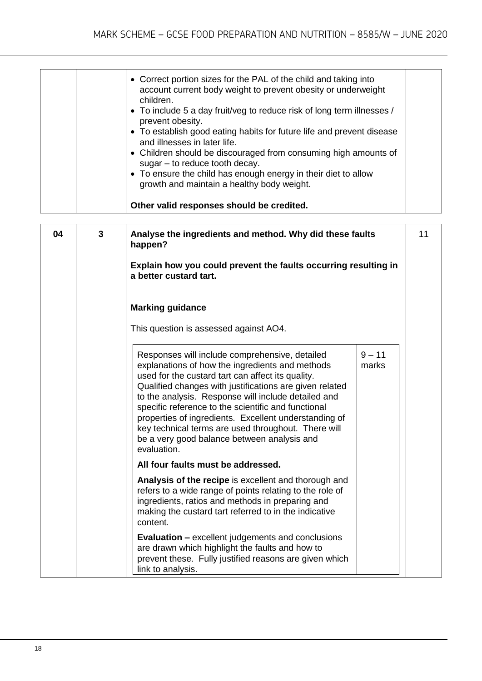|    |   | • Correct portion sizes for the PAL of the child and taking into<br>account current body weight to prevent obesity or underweight<br>children.<br>• To include 5 a day fruit/veg to reduce risk of long term illnesses /<br>prevent obesity.<br>• To establish good eating habits for future life and prevent disease<br>and illnesses in later life.<br>• Children should be discouraged from consuming high amounts of<br>$sugar - to reduce tooth decay.$<br>• To ensure the child has enough energy in their diet to allow<br>growth and maintain a healthy body weight.<br>Other valid responses should be credited. |    |
|----|---|---------------------------------------------------------------------------------------------------------------------------------------------------------------------------------------------------------------------------------------------------------------------------------------------------------------------------------------------------------------------------------------------------------------------------------------------------------------------------------------------------------------------------------------------------------------------------------------------------------------------------|----|
| 04 | 3 | Analyse the ingredients and method. Why did these faults<br>happen?<br>Explain how you could prevent the faults occurring resulting in<br>a better custard tart.                                                                                                                                                                                                                                                                                                                                                                                                                                                          | 11 |
|    |   | <b>Marking guidance</b><br>This question is assessed against AO4.                                                                                                                                                                                                                                                                                                                                                                                                                                                                                                                                                         |    |
|    |   | $9 - 11$<br>Responses will include comprehensive, detailed<br>explanations of how the ingredients and methods<br>marks<br>used for the custard tart can affect its quality.<br>Qualified changes with justifications are given related<br>to the analysis. Response will include detailed and<br>specific reference to the scientific and functional<br>properties of ingredients. Excellent understanding of<br>key technical terms are used throughout. There will<br>be a very good balance between analysis and<br>evaluation.                                                                                        |    |
|    |   | All four faults must be addressed.                                                                                                                                                                                                                                                                                                                                                                                                                                                                                                                                                                                        |    |
|    |   | Analysis of the recipe is excellent and thorough and<br>refers to a wide range of points relating to the role of<br>ingredients, ratios and methods in preparing and<br>making the custard tart referred to in the indicative<br>content.                                                                                                                                                                                                                                                                                                                                                                                 |    |
|    |   | <b>Evaluation – excellent judgements and conclusions</b><br>are drawn which highlight the faults and how to<br>prevent these. Fully justified reasons are given which<br>link to analysis.                                                                                                                                                                                                                                                                                                                                                                                                                                |    |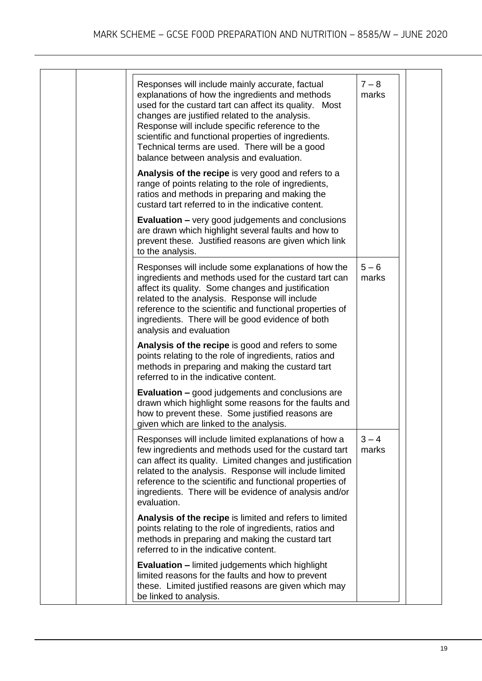|  | Responses will include mainly accurate, factual<br>explanations of how the ingredients and methods<br>used for the custard tart can affect its quality. Most<br>changes are justified related to the analysis.<br>Response will include specific reference to the<br>scientific and functional properties of ingredients.<br>Technical terms are used. There will be a good<br>balance between analysis and evaluation. | $7 - 8$<br>marks |  |
|--|-------------------------------------------------------------------------------------------------------------------------------------------------------------------------------------------------------------------------------------------------------------------------------------------------------------------------------------------------------------------------------------------------------------------------|------------------|--|
|  | Analysis of the recipe is very good and refers to a<br>range of points relating to the role of ingredients,<br>ratios and methods in preparing and making the<br>custard tart referred to in the indicative content.                                                                                                                                                                                                    |                  |  |
|  | <b>Evaluation – very good judgements and conclusions</b><br>are drawn which highlight several faults and how to<br>prevent these. Justified reasons are given which link<br>to the analysis.                                                                                                                                                                                                                            |                  |  |
|  | Responses will include some explanations of how the<br>ingredients and methods used for the custard tart can<br>affect its quality. Some changes and justification<br>related to the analysis. Response will include<br>reference to the scientific and functional properties of<br>ingredients. There will be good evidence of both<br>analysis and evaluation                                                         | $5 - 6$<br>marks |  |
|  | Analysis of the recipe is good and refers to some<br>points relating to the role of ingredients, ratios and<br>methods in preparing and making the custard tart<br>referred to in the indicative content.                                                                                                                                                                                                               |                  |  |
|  | <b>Evaluation - good judgements and conclusions are</b><br>drawn which highlight some reasons for the faults and<br>how to prevent these. Some justified reasons are<br>given which are linked to the analysis.                                                                                                                                                                                                         |                  |  |
|  | Responses will include limited explanations of how a<br>few ingredients and methods used for the custard tart<br>can affect its quality. Limited changes and justification<br>related to the analysis. Response will include limited<br>reference to the scientific and functional properties of<br>ingredients. There will be evidence of analysis and/or<br>evaluation.                                               | $3 - 4$<br>marks |  |
|  | Analysis of the recipe is limited and refers to limited<br>points relating to the role of ingredients, ratios and<br>methods in preparing and making the custard tart<br>referred to in the indicative content.                                                                                                                                                                                                         |                  |  |
|  | <b>Evaluation - limited judgements which highlight</b><br>limited reasons for the faults and how to prevent<br>these. Limited justified reasons are given which may<br>be linked to analysis.                                                                                                                                                                                                                           |                  |  |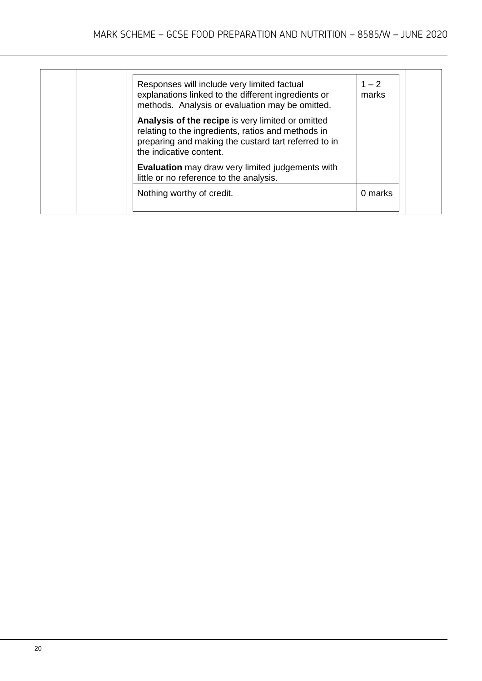| Responses will include very limited factual<br>explanations linked to the different ingredients or<br>methods. Analysis or evaluation may be omitted.<br>Analysis of the recipe is very limited or omitted<br>relating to the ingredients, ratios and methods in<br>preparing and making the custard tart referred to in<br>the indicative content.<br><b>Evaluation</b> may draw very limited judgements with<br>little or no reference to the analysis. | $1 - 2$<br>marks |
|-----------------------------------------------------------------------------------------------------------------------------------------------------------------------------------------------------------------------------------------------------------------------------------------------------------------------------------------------------------------------------------------------------------------------------------------------------------|------------------|
| Nothing worthy of credit.                                                                                                                                                                                                                                                                                                                                                                                                                                 | 0 marks          |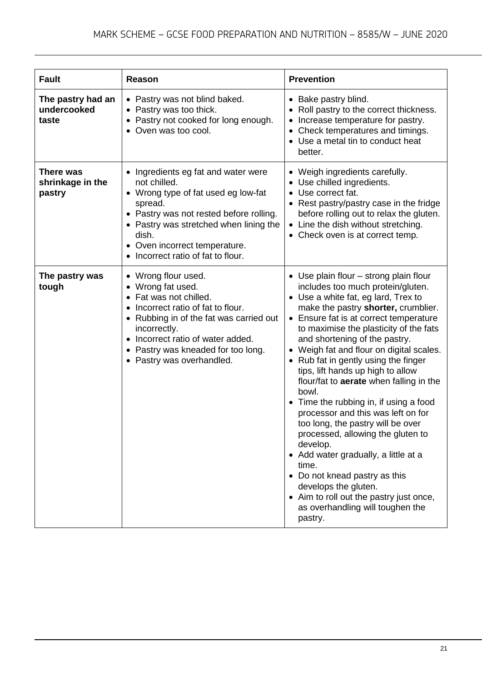| <b>Fault</b>                              | Reason                                                                                                                                                                                                                                                                               | <b>Prevention</b>                                                                                                                                                                                                                                                                                                                                                                                                                                                                                                                                                                                                                                                                                                                                                                                                                            |
|-------------------------------------------|--------------------------------------------------------------------------------------------------------------------------------------------------------------------------------------------------------------------------------------------------------------------------------------|----------------------------------------------------------------------------------------------------------------------------------------------------------------------------------------------------------------------------------------------------------------------------------------------------------------------------------------------------------------------------------------------------------------------------------------------------------------------------------------------------------------------------------------------------------------------------------------------------------------------------------------------------------------------------------------------------------------------------------------------------------------------------------------------------------------------------------------------|
| The pastry had an<br>undercooked<br>taste | • Pastry was not blind baked.<br>• Pastry was too thick.<br>• Pastry not cooked for long enough.<br>• Oven was too cool.                                                                                                                                                             | • Bake pastry blind.<br>Roll pastry to the correct thickness.<br>Increase temperature for pastry.<br>Check temperatures and timings.<br>• Use a metal tin to conduct heat<br>better.                                                                                                                                                                                                                                                                                                                                                                                                                                                                                                                                                                                                                                                         |
| There was<br>shrinkage in the<br>pastry   | • Ingredients eg fat and water were<br>not chilled.<br>• Wrong type of fat used eg low-fat<br>spread.<br>• Pastry was not rested before rolling.<br>• Pastry was stretched when lining the<br>dish.<br>• Oven incorrect temperature.<br>Incorrect ratio of fat to flour.             | • Weigh ingredients carefully.<br>• Use chilled ingredients.<br>Use correct fat.<br>$\bullet$<br>Rest pastry/pastry case in the fridge<br>before rolling out to relax the gluten.<br>• Line the dish without stretching.<br>• Check oven is at correct temp.                                                                                                                                                                                                                                                                                                                                                                                                                                                                                                                                                                                 |
| The pastry was<br>tough                   | • Wrong flour used.<br>• Wrong fat used.<br>Fat was not chilled.<br>$\bullet$<br>Incorrect ratio of fat to flour.<br>• Rubbing in of the fat was carried out<br>incorrectly.<br>• Incorrect ratio of water added.<br>• Pastry was kneaded for too long.<br>• Pastry was overhandled. | • Use plain flour - strong plain flour<br>includes too much protein/gluten.<br>• Use a white fat, eg lard, Trex to<br>make the pastry shorter, crumblier.<br>• Ensure fat is at correct temperature<br>to maximise the plasticity of the fats<br>and shortening of the pastry.<br>• Weigh fat and flour on digital scales.<br>• Rub fat in gently using the finger<br>tips, lift hands up high to allow<br>flour/fat to <b>aerate</b> when falling in the<br>bowl.<br>• Time the rubbing in, if using a food<br>processor and this was left on for<br>too long, the pastry will be over<br>processed, allowing the gluten to<br>develop.<br>• Add water gradually, a little at a<br>time.<br>• Do not knead pastry as this<br>develops the gluten.<br>• Aim to roll out the pastry just once,<br>as overhandling will toughen the<br>pastry. |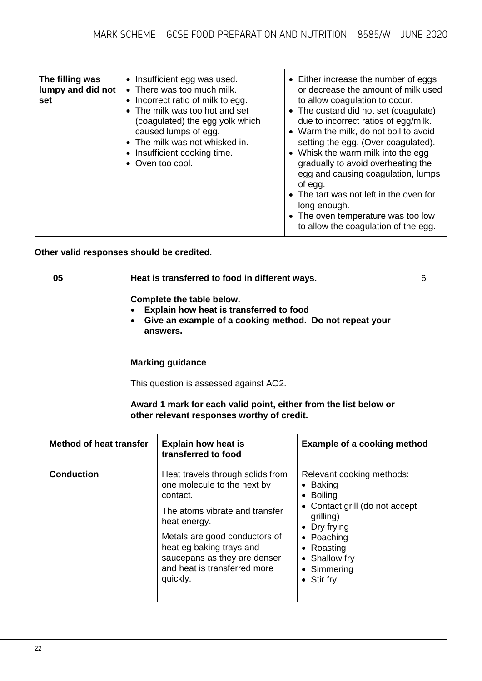| The filling was<br>lumpy and did not<br>set | • Insufficient egg was used.<br>• There was too much milk.<br>• Incorrect ratio of milk to egg.<br>• The milk was too hot and set<br>(coagulated) the egg yolk which<br>caused lumps of egg.<br>• The milk was not whisked in.<br>• Insufficient cooking time.<br>• Oven too cool. | • Either increase the number of eggs<br>or decrease the amount of milk used<br>to allow coagulation to occur.<br>• The custard did not set (coagulate)<br>due to incorrect ratios of egg/milk.<br>• Warm the milk, do not boil to avoid<br>setting the egg. (Over coagulated).<br>• Whisk the warm milk into the egg<br>gradually to avoid overheating the<br>egg and causing coagulation, lumps<br>of egg.<br>• The tart was not left in the oven for<br>long enough.<br>• The oven temperature was too low<br>to allow the coagulation of the egg. |
|---------------------------------------------|------------------------------------------------------------------------------------------------------------------------------------------------------------------------------------------------------------------------------------------------------------------------------------|------------------------------------------------------------------------------------------------------------------------------------------------------------------------------------------------------------------------------------------------------------------------------------------------------------------------------------------------------------------------------------------------------------------------------------------------------------------------------------------------------------------------------------------------------|

#### **Other valid responses should be credited.**

| 05 | Heat is transferred to food in different ways.                                                                                              | 6 |
|----|---------------------------------------------------------------------------------------------------------------------------------------------|---|
|    | Complete the table below.<br>Explain how heat is transferred to food<br>Give an example of a cooking method. Do not repeat your<br>answers. |   |
|    | <b>Marking guidance</b>                                                                                                                     |   |
|    | This question is assessed against AO2.                                                                                                      |   |
|    | Award 1 mark for each valid point, either from the list below or<br>other relevant responses worthy of credit.                              |   |

| Method of heat transfer | <b>Explain how heat is</b><br>transferred to food                                                                                                                                                                                                                      | <b>Example of a cooking method</b>                                                                                                                                                                      |
|-------------------------|------------------------------------------------------------------------------------------------------------------------------------------------------------------------------------------------------------------------------------------------------------------------|---------------------------------------------------------------------------------------------------------------------------------------------------------------------------------------------------------|
| <b>Conduction</b>       | Heat travels through solids from<br>one molecule to the next by<br>contact.<br>The atoms vibrate and transfer<br>heat energy.<br>Metals are good conductors of<br>heat eg baking trays and<br>saucepans as they are denser<br>and heat is transferred more<br>quickly. | Relevant cooking methods:<br>$\bullet$ Baking<br>• Boiling<br>• Contact grill (do not accept<br>grilling)<br>Dry frying<br>٠<br>• Poaching<br>• Roasting<br>• Shallow fry<br>• Simmering<br>• Stir fry. |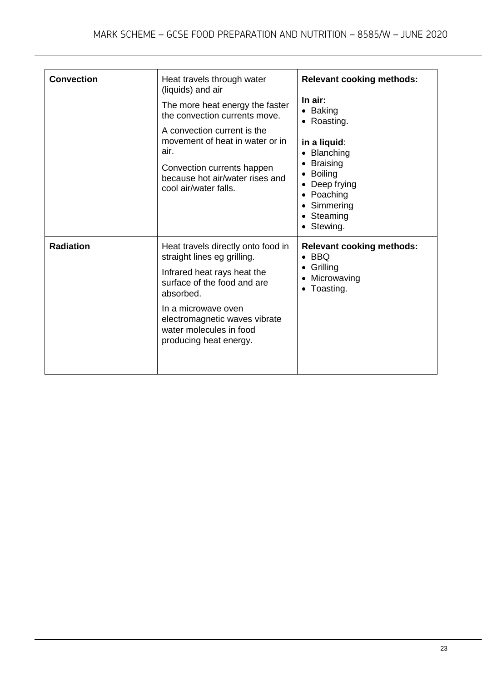| <b>Convection</b> | Heat travels through water<br>(liquids) and air<br>The more heat energy the faster<br>the convection currents move.<br>A convection current is the<br>movement of heat in water or in<br>air.<br>Convection currents happen<br>because hot air/water rises and<br>cool air/water falls. | <b>Relevant cooking methods:</b><br>In air:<br>$\bullet$ Baking<br>• Roasting.<br>in a liquid:<br>• Blanching<br><b>Braising</b><br><b>Boiling</b><br>• Deep frying<br>• Poaching<br>• Simmering<br>• Steaming<br>• Stewing. |
|-------------------|-----------------------------------------------------------------------------------------------------------------------------------------------------------------------------------------------------------------------------------------------------------------------------------------|------------------------------------------------------------------------------------------------------------------------------------------------------------------------------------------------------------------------------|
| <b>Radiation</b>  | Heat travels directly onto food in<br>straight lines eg grilling.<br>Infrared heat rays heat the<br>surface of the food and are<br>absorbed.<br>In a microwave oven<br>electromagnetic waves vibrate<br>water molecules in food<br>producing heat energy.                               | <b>Relevant cooking methods:</b><br>$\bullet$ BBQ<br>Grilling<br>Microwaving<br>Toasting.                                                                                                                                    |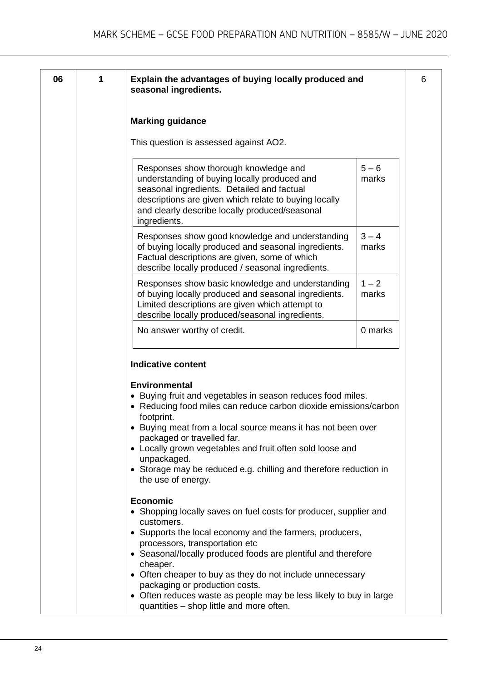6

| 1 | Explain the advantages of buying locally produced and<br>seasonal ingredients.                                                                                                                                                                                                                                                                                                                                                                                        |                  |
|---|-----------------------------------------------------------------------------------------------------------------------------------------------------------------------------------------------------------------------------------------------------------------------------------------------------------------------------------------------------------------------------------------------------------------------------------------------------------------------|------------------|
|   | <b>Marking guidance</b>                                                                                                                                                                                                                                                                                                                                                                                                                                               |                  |
|   | This question is assessed against AO2.                                                                                                                                                                                                                                                                                                                                                                                                                                |                  |
|   | Responses show thorough knowledge and<br>understanding of buying locally produced and<br>seasonal ingredients. Detailed and factual<br>descriptions are given which relate to buying locally<br>and clearly describe locally produced/seasonal<br>ingredients.                                                                                                                                                                                                        | $5 - 6$<br>marks |
|   | Responses show good knowledge and understanding<br>of buying locally produced and seasonal ingredients.<br>Factual descriptions are given, some of which<br>describe locally produced / seasonal ingredients.                                                                                                                                                                                                                                                         | $3 - 4$<br>marks |
|   | Responses show basic knowledge and understanding<br>of buying locally produced and seasonal ingredients.<br>Limited descriptions are given which attempt to<br>describe locally produced/seasonal ingredients.                                                                                                                                                                                                                                                        | $1 - 2$<br>marks |
|   | No answer worthy of credit.                                                                                                                                                                                                                                                                                                                                                                                                                                           | 0 marks          |
|   | <b>Indicative content</b><br><b>Environmental</b><br>• Buying fruit and vegetables in season reduces food miles.<br>• Reducing food miles can reduce carbon dioxide emissions/carbon<br>footprint.<br>Buying meat from a local source means it has not been over<br>packaged or travelled far.<br>• Locally grown vegetables and fruit often sold loose and<br>unpackaged.<br>• Storage may be reduced e.g. chilling and therefore reduction in<br>the use of energy. |                  |
|   | <b>Economic</b>                                                                                                                                                                                                                                                                                                                                                                                                                                                       |                  |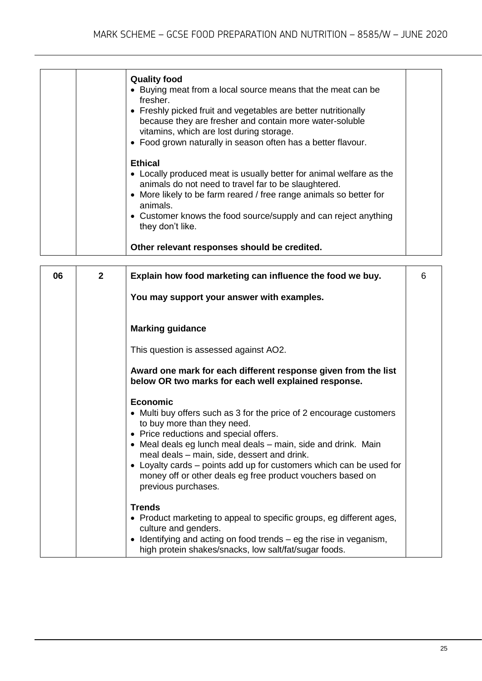| <b>Quality food</b><br>• Buying meat from a local source means that the meat can be<br>fresher.<br>• Freshly picked fruit and vegetables are better nutritionally<br>because they are fresher and contain more water-soluble<br>vitamins, which are lost during storage.<br>• Food grown naturally in season often has a better flavour. |
|------------------------------------------------------------------------------------------------------------------------------------------------------------------------------------------------------------------------------------------------------------------------------------------------------------------------------------------|
| <b>Ethical</b><br>• Locally produced meat is usually better for animal welfare as the<br>animals do not need to travel far to be slaughtered.<br>• More likely to be farm reared / free range animals so better for<br>animals.<br>• Customer knows the food source/supply and can reject anything<br>they don't like.                   |
| Other relevant responses should be credited.                                                                                                                                                                                                                                                                                             |
|                                                                                                                                                                                                                                                                                                                                          |

| 06 | $\overline{2}$ | Explain how food marketing can influence the food we buy.                                                                                                                                                                                                                                                                                                                                                                            | 6 |
|----|----------------|--------------------------------------------------------------------------------------------------------------------------------------------------------------------------------------------------------------------------------------------------------------------------------------------------------------------------------------------------------------------------------------------------------------------------------------|---|
|    |                | You may support your answer with examples.                                                                                                                                                                                                                                                                                                                                                                                           |   |
|    |                | <b>Marking guidance</b>                                                                                                                                                                                                                                                                                                                                                                                                              |   |
|    |                | This question is assessed against AO2.                                                                                                                                                                                                                                                                                                                                                                                               |   |
|    |                | Award one mark for each different response given from the list<br>below OR two marks for each well explained response.                                                                                                                                                                                                                                                                                                               |   |
|    |                | Economic<br>• Multi buy offers such as 3 for the price of 2 encourage customers<br>to buy more than they need.<br>• Price reductions and special offers.<br>• Meal deals eg lunch meal deals – main, side and drink. Main<br>meal deals - main, side, dessert and drink.<br>• Loyalty cards – points add up for customers which can be used for<br>money off or other deals eg free product vouchers based on<br>previous purchases. |   |
|    |                | <b>Trends</b><br>• Product marketing to appeal to specific groups, eg different ages,<br>culture and genders.<br>• Identifying and acting on food trends $-$ eg the rise in veganism,<br>high protein shakes/snacks, low salt/fat/sugar foods.                                                                                                                                                                                       |   |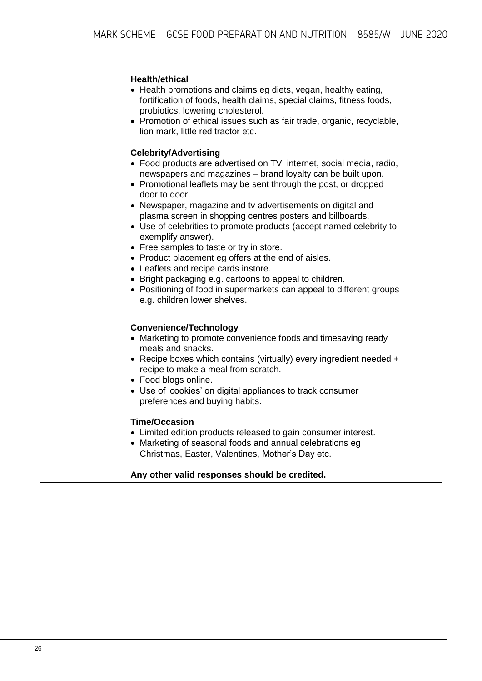| <b>Health/ethical</b><br>• Health promotions and claims eg diets, vegan, healthy eating,<br>fortification of foods, health claims, special claims, fitness foods,<br>probiotics, lowering cholesterol.<br>• Promotion of ethical issues such as fair trade, organic, recyclable,<br>lion mark, little red tractor etc.                                    |  |
|-----------------------------------------------------------------------------------------------------------------------------------------------------------------------------------------------------------------------------------------------------------------------------------------------------------------------------------------------------------|--|
| <b>Celebrity/Advertising</b><br>• Food products are advertised on TV, internet, social media, radio,<br>newspapers and magazines - brand loyalty can be built upon.<br>• Promotional leaflets may be sent through the post, or dropped<br>door to door.                                                                                                   |  |
| • Newspaper, magazine and tv advertisements on digital and<br>plasma screen in shopping centres posters and billboards.<br>• Use of celebrities to promote products (accept named celebrity to<br>exemplify answer).<br>• Free samples to taste or try in store.                                                                                          |  |
| • Product placement eg offers at the end of aisles.<br>• Leaflets and recipe cards instore.<br>• Bright packaging e.g. cartoons to appeal to children.<br>• Positioning of food in supermarkets can appeal to different groups<br>e.g. children lower shelves.                                                                                            |  |
| <b>Convenience/Technology</b><br>• Marketing to promote convenience foods and timesaving ready<br>meals and snacks.<br>• Recipe boxes which contains (virtually) every ingredient needed +<br>recipe to make a meal from scratch.<br>• Food blogs online.<br>• Use of 'cookies' on digital appliances to track consumer<br>preferences and buying habits. |  |
| <b>Time/Occasion</b><br>• Limited edition products released to gain consumer interest.<br>• Marketing of seasonal foods and annual celebrations eg<br>Christmas, Easter, Valentines, Mother's Day etc.                                                                                                                                                    |  |
| Any other valid responses should be credited.                                                                                                                                                                                                                                                                                                             |  |